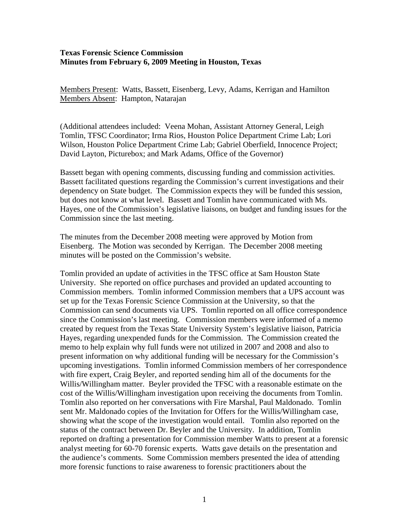## **Texas Forensic Science Commission Minutes from February 6, 2009 Meeting in Houston, Texas**

Members Present: Watts, Bassett, Eisenberg, Levy, Adams, Kerrigan and Hamilton Members Absent: Hampton, Natarajan

(Additional attendees included: Veena Mohan, Assistant Attorney General, Leigh Tomlin, TFSC Coordinator; Irma Rios, Houston Police Department Crime Lab; Lori Wilson, Houston Police Department Crime Lab; Gabriel Oberfield, Innocence Project; David Layton, Picturebox; and Mark Adams, Office of the Governor)

Bassett began with opening comments, discussing funding and commission activities. Bassett facilitated questions regarding the Commission's current investigations and their dependency on State budget. The Commission expects they will be funded this session, but does not know at what level. Bassett and Tomlin have communicated with Ms. Hayes, one of the Commission's legislative liaisons, on budget and funding issues for the Commission since the last meeting.

The minutes from the December 2008 meeting were approved by Motion from Eisenberg. The Motion was seconded by Kerrigan. The December 2008 meeting minutes will be posted on the Commission's website.

Tomlin provided an update of activities in the TFSC office at Sam Houston State University. She reported on office purchases and provided an updated accounting to Commission members. Tomlin informed Commission members that a UPS account was set up for the Texas Forensic Science Commission at the University, so that the Commission can send documents via UPS. Tomlin reported on all office correspondence since the Commission's last meeting. Commission members were informed of a memo created by request from the Texas State University System's legislative liaison, Patricia Hayes, regarding unexpended funds for the Commission. The Commission created the memo to help explain why full funds were not utilized in 2007 and 2008 and also to present information on why additional funding will be necessary for the Commission's upcoming investigations. Tomlin informed Commission members of her correspondence with fire expert, Craig Beyler, and reported sending him all of the documents for the Willis/Willingham matter. Beyler provided the TFSC with a reasonable estimate on the cost of the Willis/Willingham investigation upon receiving the documents from Tomlin. Tomlin also reported on her conversations with Fire Marshal, Paul Maldonado. Tomlin sent Mr. Maldonado copies of the Invitation for Offers for the Willis/Willingham case, showing what the scope of the investigation would entail. Tomlin also reported on the status of the contract between Dr. Beyler and the University. In addition, Tomlin reported on drafting a presentation for Commission member Watts to present at a forensic analyst meeting for 60-70 forensic experts. Watts gave details on the presentation and the audience's comments. Some Commission members presented the idea of attending more forensic functions to raise awareness to forensic practitioners about the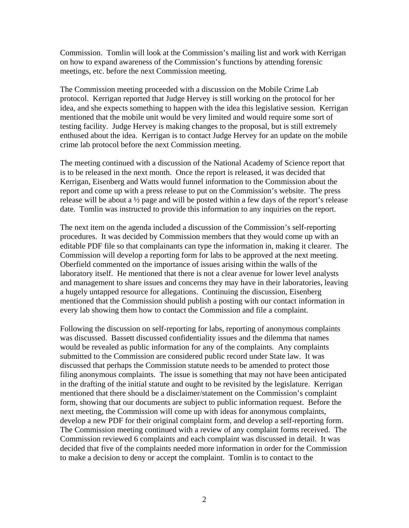Commission. Tomlin will look at the Commission's mailing list and work with Kerrigan on how to expand awareness of the Commission's functions by attending forensic meetings, etc. before the next Commission meeting.

The Commission meeting proceeded with a discussion on the Mobile Crime Lab protocol. Kerrigan reported that Judge Hervey is still working on the protocol for her idea, and she expects something to happen with the idea this legislative session. Kerrigan mentioned that the mobile unit would be very limited and would require some sort of testing facility. Judge Hervey is making changes to the proposal, but is still extremely enthused about the idea. Kerrigan is to contact Judge Hervey for an update on the mobile crime lab protocol before the next Commission meeting.

The meeting continued with a discussion of the National Academy of Science report that is to be released in the next month. Once the report is released, it was decided that Kerrigan, Eisenberg and Watts would funnel information to the Commission about the report and come up with a press release to put on the Commission's website. The press release will be about a ½ page and will be posted within a few days of the report's release date. Tomlin was instructed to provide this information to any inquiries on the report.

The next item on the agenda included a discussion of the Commission's self-reporting procedures. It was decided by Commission members that they would come up with an editable PDF file so that complainants can type the information in, making it clearer. The Commission will develop a reporting form for labs to be approved at the next meeting. Oberfield commented on the importance of issues arising within the walls of the laboratory itself. He mentioned that there is not a clear avenue for lower level analysts and management to share issues and concerns they may have in their laboratories, leaving a hugely untapped resource for allegations. Continuing the discussion, Eisenberg mentioned that the Commission should publish a posting with our contact information in every lab showing them how to contact the Commission and file a complaint.

Following the discussion on self-reporting for labs, reporting of anonymous complaints was discussed. Bassett discussed confidentiality issues and the dilemma that names would be revealed as public information for any of the complaints. Any complaints submitted to the Commission are considered public record under State law. It was discussed that perhaps the Commission statute needs to be amended to protect those filing anonymous complaints. The issue is something that may not have been anticipated in the drafting of the initial statute and ought to be revisited by the legislature. Kerrigan mentioned that there should be a disclaimer/statement on the Commission's complaint form, showing that our documents are subject to public information request. Before the next meeting, the Commission will come up with ideas for anonymous complaints, develop a new PDF for their original complaint form, and develop a self-reporting form. The Commission meeting continued with a review of any complaint forms received. The Commission reviewed 6 complaints and each complaint was discussed in detail. It was decided that five of the complaints needed more information in order for the Commission to make a decision to deny or accept the complaint. Tomlin is to contact to the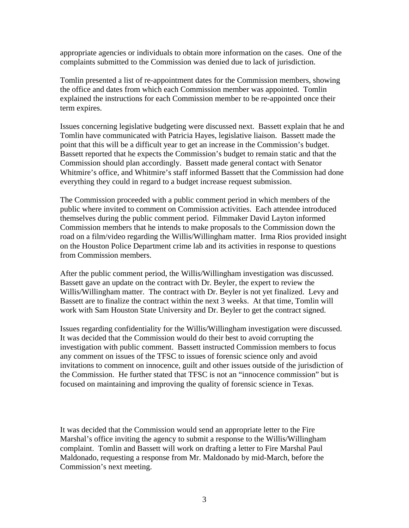appropriate agencies or individuals to obtain more information on the cases. One of the complaints submitted to the Commission was denied due to lack of jurisdiction.

Tomlin presented a list of re-appointment dates for the Commission members, showing the office and dates from which each Commission member was appointed. Tomlin explained the instructions for each Commission member to be re-appointed once their term expires.

Issues concerning legislative budgeting were discussed next. Bassett explain that he and Tomlin have communicated with Patricia Hayes, legislative liaison. Bassett made the point that this will be a difficult year to get an increase in the Commission's budget. Bassett reported that he expects the Commission's budget to remain static and that the Commission should plan accordingly. Bassett made general contact with Senator Whitmire's office, and Whitmire's staff informed Bassett that the Commission had done everything they could in regard to a budget increase request submission.

The Commission proceeded with a public comment period in which members of the public where invited to comment on Commission activities. Each attendee introduced themselves during the public comment period. Filmmaker David Layton informed Commission members that he intends to make proposals to the Commission down the road on a film/video regarding the Willis/Willingham matter. Irma Rios provided insight on the Houston Police Department crime lab and its activities in response to questions from Commission members.

After the public comment period, the Willis/Willingham investigation was discussed. Bassett gave an update on the contract with Dr. Beyler, the expert to review the Willis/Willingham matter. The contract with Dr. Beyler is not yet finalized. Levy and Bassett are to finalize the contract within the next 3 weeks. At that time, Tomlin will work with Sam Houston State University and Dr. Beyler to get the contract signed.

Issues regarding confidentiality for the Willis/Willingham investigation were discussed. It was decided that the Commission would do their best to avoid corrupting the investigation with public comment. Bassett instructed Commission members to focus any comment on issues of the TFSC to issues of forensic science only and avoid invitations to comment on innocence, guilt and other issues outside of the jurisdiction of the Commission. He further stated that TFSC is not an "innocence commission" but is focused on maintaining and improving the quality of forensic science in Texas.

It was decided that the Commission would send an appropriate letter to the Fire Marshal's office inviting the agency to submit a response to the Willis/Willingham complaint. Tomlin and Bassett will work on drafting a letter to Fire Marshal Paul Maldonado, requesting a response from Mr. Maldonado by mid-March, before the Commission's next meeting.